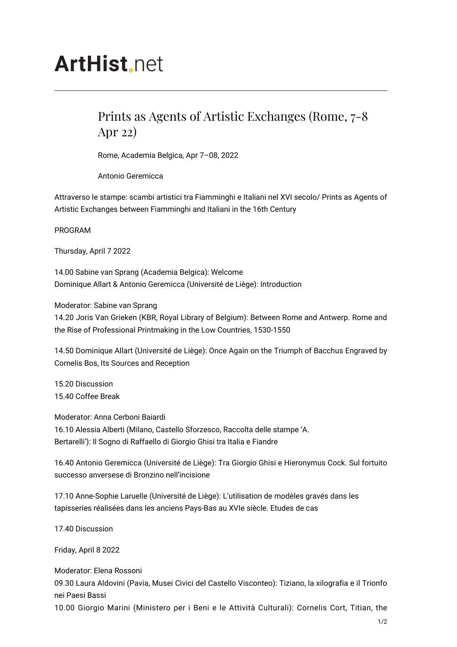## **ArtHist**, net

## Prints as Agents of Artistic Exchanges (Rome, 7-8 Apr 22)

Rome, Academia Belgica, Apr 7–08, 2022

Antonio Geremicca

Attraverso le stampe: scambi artistici tra Fiamminghi e Italiani nel XVI secolo/ Prints as Agents of Artistic Exchanges between Fiamminghi and Italiani in the 16th Century

PROGRAM

Thursday, April 7 2022

14.00 Sabine van Sprang (Academia Belgica): Welcome Dominique Allart & Antonio Geremicca (Université de Liège): Introduction

Moderator: Sabine van Sprang

14.20 Joris Van Grieken (KBR, Royal Library of Belgium): Between Rome and Antwerp. Rome and the Rise of Professional Printmaking in the Low Countries, 1530-1550

14.50 Dominique Allart (Université de Liège): Once Again on the Triumph of Bacchus Engraved by Cornelis Bos, Its Sources and Reception

15.20 Discussion 15.40 Coffee Break

Moderator: Anna Cerboni Baiardi 16.10 Alessia Alberti (Milano, Castello Sforzesco, Raccolta delle stampe 'A. Bertarelli'): Il Sogno di Raffaello di Giorgio Ghisi tra Italia e Fiandre

16.40 Antonio Geremicca (Université de Liège): Tra Giorgio Ghisi e Hieronymus Cock. Sul fortuito successo anversese di Bronzino nell'incisione

17.10 Anne-Sophie Laruelle (Université de Liège): L'utilisation de modèles gravés dans les tapisseries réalisées dans les anciens Pays-Bas au XVIe siècle. Etudes de cas

17.40 Discussion

Friday, April 8 2022

Moderator: Elena Rossoni 09.30 Laura Aldovini (Pavia, Musei Civici del Castello Visconteo): Tiziano, la xilografia e il Trionfo nei Paesi Bassi

10.00 Giorgio Marini (Ministero per i Beni e le Attività Culturali): Cornelis Cort, Titian, the